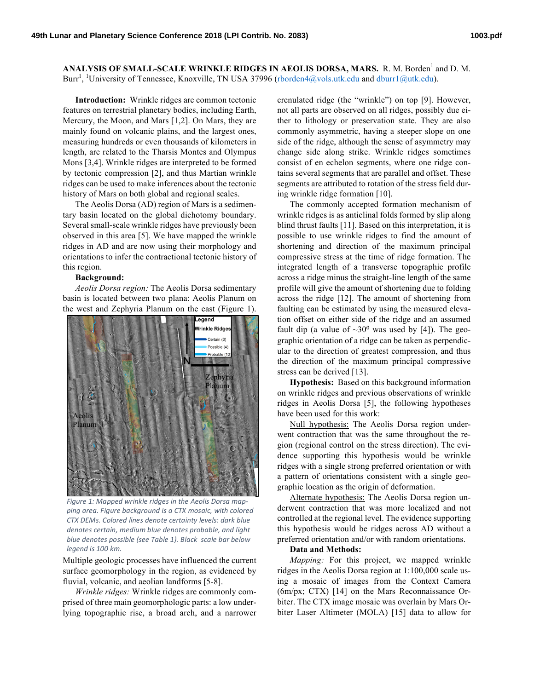ANALYSIS OF SMALL-SCALE WRINKLE RIDGES IN AEOLIS DORSA, MARS. R. M. Borden<sup>1</sup> and D. M. Burr<sup>1</sup>, <sup>1</sup>University of Tennessee, Knoxville, TN USA 37996 (rborden4@vols.utk.edu and dburr1@utk.edu).

**Introduction:** Wrinkle ridges are common tectonic features on terrestrial planetary bodies, including Earth, Mercury, the Moon, and Mars [1,2]. On Mars, they are mainly found on volcanic plains, and the largest ones, measuring hundreds or even thousands of kilometers in length, are related to the Tharsis Montes and Olympus Mons [3,4]. Wrinkle ridges are interpreted to be formed by tectonic compression [2], and thus Martian wrinkle ridges can be used to make inferences about the tectonic history of Mars on both global and regional scales.

The Aeolis Dorsa (AD) region of Mars is a sedimentary basin located on the global dichotomy boundary. Several small-scale wrinkle ridges have previously been observed in this area [5]. We have mapped the wrinkle ridges in AD and are now using their morphology and orientations to infer the contractional tectonic history of this region.

## **Background:**

*Aeolis Dorsa region:* The Aeolis Dorsa sedimentary basin is located between two plana: Aeolis Planum on the west and Zephyria Planum on the east (Figure 1).



Figure 1: Mapped wrinkle ridges in the Aeolis Dorsa mapping area. Figure background is a CTX mosaic, with colored *CTX DEMs. Colored lines denote certainty levels: dark blue denotes certain, medium blue denotes probable, and light blue* denotes possible (see Table 1). Black scale bar below *legend is 100 km.*

Multiple geologic processes have influenced the current surface geomorphology in the region, as evidenced by fluvial, volcanic, and aeolian landforms [5-8].

*Wrinkle ridges:* Wrinkle ridges are commonly comprised of three main geomorphologic parts: a low underlying topographic rise, a broad arch, and a narrower crenulated ridge (the "wrinkle") on top [9]. However, not all parts are observed on all ridges, possibly due either to lithology or preservation state. They are also commonly asymmetric, having a steeper slope on one side of the ridge, although the sense of asymmetry may change side along strike. Wrinkle ridges sometimes consist of en echelon segments, where one ridge contains several segments that are parallel and offset. These segments are attributed to rotation of the stress field during wrinkle ridge formation [10].

The commonly accepted formation mechanism of wrinkle ridges is as anticlinal folds formed by slip along blind thrust faults [11]. Based on this interpretation, it is possible to use wrinkle ridges to find the amount of shortening and direction of the maximum principal compressive stress at the time of ridge formation. The integrated length of a transverse topographic profile across a ridge minus the straight-line length of the same profile will give the amount of shortening due to folding across the ridge [12]. The amount of shortening from faulting can be estimated by using the measured elevation offset on either side of the ridge and an assumed fault dip (a value of  $\sim 30^{\circ}$  was used by [4]). The geographic orientation of a ridge can be taken as perpendicular to the direction of greatest compression, and thus the direction of the maximum principal compressive stress can be derived [13].

**Hypothesis:** Based on this background information on wrinkle ridges and previous observations of wrinkle ridges in Aeolis Dorsa [5], the following hypotheses have been used for this work:

Null hypothesis: The Aeolis Dorsa region underwent contraction that was the same throughout the region (regional control on the stress direction). The evidence supporting this hypothesis would be wrinkle ridges with a single strong preferred orientation or with a pattern of orientations consistent with a single geographic location as the origin of deformation.

Alternate hypothesis: The Aeolis Dorsa region underwent contraction that was more localized and not controlled at the regional level. The evidence supporting this hypothesis would be ridges across AD without a preferred orientation and/or with random orientations.

## **Data and Methods:**

*Mapping:* For this project, we mapped wrinkle ridges in the Aeolis Dorsa region at 1:100,000 scale using a mosaic of images from the Context Camera (6m/px; CTX) [14] on the Mars Reconnaissance Orbiter. The CTX image mosaic was overlain by Mars Orbiter Laser Altimeter (MOLA) [15] data to allow for